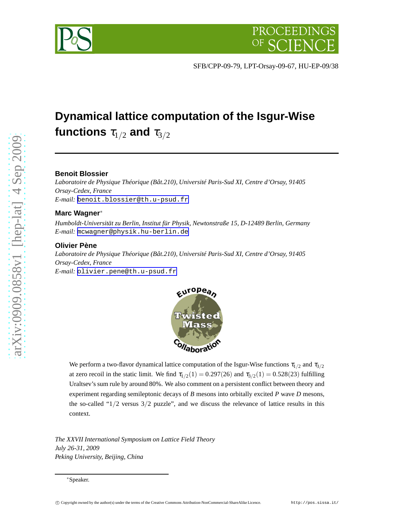

SFB/CPP-09-79, LPT-Orsay-09-67, HU-EP-09/38

# **Dynamical lattice computation of the Isgur-Wise** functions  $\tau_{1/2}$  and  $\tau_{3/2}$

# **Benoit Blossier**

*Laboratoire de Physique Théorique (Bât.210), Université Paris-Sud XI, Centre d'Orsay, 91405 Orsay-Cedex, France E-mail:* [benoit.blossier@th.u-psud.fr](mailto:benoit.blossier@th.u-psud.fr)

# **Marc Wagner** ∗

*Humboldt-Universität zu Berlin, Institut für Physik, Newtonstraße 15, D-12489 Berlin, Germany E-mail:* [mcwagner@physik.hu-berlin.de](mailto:mcwagner@physik.hu-berlin.de)

# **Olivier Pène**

*Laboratoire de Physique Théorique (Bât.210), Université Paris-Sud XI, Centre d'Orsay, 91405 Orsay-Cedex, France E-mail:* [olivier.pene@th.u-psud.fr](mailto:olivier.pene@th.u-psud.fr)



We perform a two-flavor dynamical lattice computation of the Isgur-Wise functions  $\tau_{1/2}$  and  $\tau_{3/2}$ at zero recoil in the static limit. We find  $\tau_{1/2}(1) = 0.297(26)$  and  $\tau_{3/2}(1) = 0.528(23)$  fulfilling Uraltsev's sum rule by around 80%. We also comment on a persistent conflict between theory and experiment regarding semileptonic decays of *B* mesons into orbitally excited *P* wave *D* mesons, the so-called " $1/2$  versus  $3/2$  puzzle", and we discuss the relevance of lattice results in this context.

*The XXVII International Symposium on Lattice Field Theory July 26-31, 2009 Peking University, Beijing, China*

<sup>∗</sup>Speaker.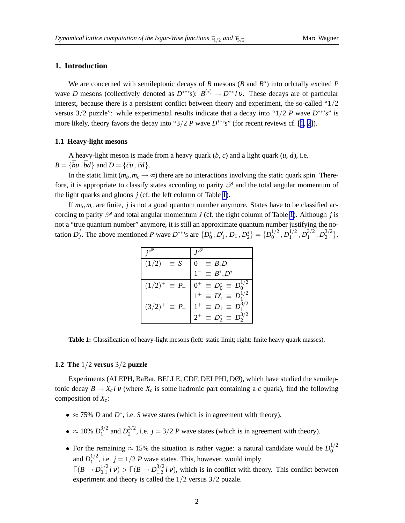# **1. Introduction**

We are concerned with semileptonic decays of *B* mesons (*B* and  $B^*$ ) into orbitally excited *P* wave *D* mesons (collectively denoted as  $D^{**}$ 's):  $B^{(*)} \to D^{**} l \nu$ . These decays are of particular interest, because there is a persistent conflict between theory and experiment, the so-called "1/2 versus 3/2 puzzle": while experimental results indicate that a decay into "1/2 *P* wave *D* ∗∗'s" is more likely, theory favors the decay into " $3/2$  *P* wave  $D^{**}$ "s" (for recent reviews cf. [[1](#page-6-0), [2](#page-6-0)]).

#### **1.1 Heavy-light mesons**

A heavy-light meson is made from a heavy quark (*b*, *c*) and a light quark (*u*, *d*), i.e.  $B = \{\bar{b}u, \bar{b}d\}$  and  $D = \{\bar{c}u, \bar{c}d\}.$ 

In the static limit  $(m_b, m_c \rightarrow \infty)$  there are no interactions involving the static quark spin. Therefore, it is appropriate to classify states according to parity  $\mathscr P$  and the total angular momentum of the light quarks and gluons  $j$  (cf. the left column of Table 1).

If *mb*,*m<sup>c</sup>* are finite, *j* is not a good quantum number anymore. States have to be classified according to parity  $\mathscr P$  and total angular momentum *J* (cf. the right column of Table 1). Although *j* is not a "true quantum number" anymore, it is still an approximate quantum number justifying the notation *D j J*. The above mentioned *P* wave  $D^{**}$ 's are  $\{D_0^*, D_1', D_1, D_2^*\} = \{D_0^{1/2}\}$  $\,^{1/2}_0$  ,  $D_1^{1/2}$  $1/2$ <sub>1</sub>,  $D_1^{3/2}$  $\frac{3/2}{1}, D_2^{3/2}$  $2^{3/2}$ .

| $(1/2)^{-} \equiv S$     | $\equiv B,D$                        |
|--------------------------|-------------------------------------|
|                          | $1^{-} \equiv B^* , D^*$            |
| $(1/2)^{+} \equiv P_{-}$ | $0^+ \equiv D_0^* \equiv D_0^{1/2}$ |
|                          | $1^+ \equiv D'_1 \equiv D_1^{1/2}$  |
| $(3/2)^{+} \equiv P_{+}$ | $1^+ \equiv D_1 \equiv D_1^{3/2}$   |
|                          | $2^+ \equiv D_2^* \equiv D_2^{3/2}$ |

**Table 1:** Classification of heavy-light mesons (left: static limit; right: finite heavy quark masses).

#### **1.2 The** 1/2 **versus** 3/2 **puzzle**

Experiments (ALEPH, BaBar, BELLE, CDF, DELPHI, DØ), which have studied the semileptonic decay  $B \to X_c l \nu$  (where  $X_c$  is some hadronic part containing a *c* quark), find the following composition of *Xc*:

- $\approx$  75% *D* and *D*<sup>\*</sup>, i.e. *S* wave states (which is in agreement with theory).
- $\approx 10\% \ D_1^{3/2}$  $1^{3/2}$  and  $D_2^{3/2}$  $2^{3/2}$ , i.e.  $j = 3/2$  *P* wave states (which is in agreement with theory).
- For the remaining  $\approx 15\%$  the situation is rather vague: a natural candidate would be  $D_0^{1/2}$  $\boldsymbol{0}$ and  $D_1^{1/2}$  $j_1^{1/2}$ , i.e.  $j = 1/2$  *P* wave states. This, however, would imply  $\Gamma(B\to D_{0,1}^{1/2}$  $\int_{0,1}^{1/2}$ *l* ν) > Γ(*B* → *D*<sub>1,2</sub><sup>3/2</sup>  $\int_{1,2}^{3/2} l \nu$ , which is in conflict with theory. This conflict between experiment and theory is called the 1/2 versus 3/2 puzzle.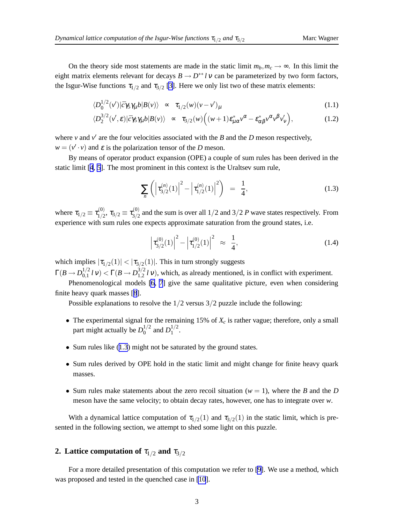<span id="page-2-0"></span>On the theory side most statements are made in the static limit  $m_b$ ,  $m_c \rightarrow \infty$ . In this limit the eight matrix elements relevant for decays  $B \to D^{**} l \nu$  can be parameterized by two form factors, the Isgur-Wise functions  $\tau_{1/2}$  and  $\tau_{3/2}$  [\[3\]](#page-6-0). Here we only list two of these matrix elements:

$$
\langle D_0^{1/2}(v')|\bar{c}\gamma_5\gamma_\mu b|B(v)\rangle \sim \tau_{1/2}(w)(v-v')_\mu
$$
\n(1.1)

$$
\langle D_2^{3/2}(\nu',\varepsilon)|\bar{c}\gamma_5\gamma_\mu b|B(\nu)\rangle \sim \tau_{3/2}(w)\Big((w+1)\varepsilon_{\mu\alpha}^*\nu^\alpha - \varepsilon_{\alpha\beta}^*\nu^\alpha\nu^\beta\nu_\nu'\Big),\tag{1.2}
$$

where  $\nu$  and  $\nu'$  are the four velocities associated with the *B* and the *D* meson respectively,  $w = (v' \cdot v)$  and  $\varepsilon$  is the polarization tensor of the *D* meson.

By means of operator product expansion (OPE) a couple of sum rules has been derived in the static limit [\[4](#page-6-0), [5](#page-6-0)]. The most prominent in this context is the Uraltsev sum rule,

$$
\sum_{n} \left( \left| \tau_{3/2}^{(n)}(1) \right|^{2} - \left| \tau_{1/2}^{(n)}(1) \right|^{2} \right) = \frac{1}{4},\tag{1.3}
$$

where  $\tau_{1/2} \equiv \tau_{1/2}^{(0)}$  $\tau_{1/2}^{(0)},\,\tau_{3/2}\equiv\tau_{3/2}^{(0)}$  $\frac{3}{2}$  and the sum is over all  $1/2$  and  $3/2$  *P* wave states respectively. From experience with sum rules one expects approximate saturation from the ground states, i.e.

$$
\left|\tau_{3/2}^{(0)}(1)\right|^2 - \left|\tau_{1/2}^{(0)}(1)\right|^2 \approx \frac{1}{4},\tag{1.4}
$$

which implies  $|\tau_{1/2}(1)| < |\tau_{3/2}(1)|$ . This in turn strongly suggests

 $\Gamma(B\to D^{1/2}_{0,1}$  $\int_{0,1}^{1/2}$ *l* ν) < Γ(*B* → *D*<sub>1,2</sub><sup>3/2</sup>  $\int_{1,2}^{3/2} l \nu$ , which, as already mentioned, is in conflict with experiment.

Phenomenological models [\[6](#page-6-0), [7](#page-6-0)] give the same qualitative picture, even when considering finite heavy quark masses [[8](#page-6-0)].

Possible explanations to resolve the  $1/2$  versus  $3/2$  puzzle include the following:

- The experimental signal for the remaining 15% of  $X_c$  is rather vague; therefore, only a small part might actually be  $D_0^{1/2}$  $_{0}^{1/2}$  and  $D_{1}^{1/2}$  $\frac{1}{2}$ .
- Sum rules like (1.3) might not be saturated by the ground states.
- Sum rules derived by OPE hold in the static limit and might change for finite heavy quark masses.
- Sum rules make statements about the zero recoil situation ( $w = 1$ ), where the *B* and the *D* meson have the same velocity; to obtain decay rates, however, one has to integrate over *w*.

With a dynamical lattice computation of  $\tau_{1/2}(1)$  and  $\tau_{3/2}(1)$  in the static limit, which is presented in the following section, we attempt to shed some light on this puzzle.

# **2. Lattice computation of**  $\tau_{1/2}$  **and**  $\tau_{3/2}$

For a more detailed presentation of this computation we refer to [\[9\]](#page-6-0). We use a method, which was proposed and tested in the quenched case in [\[10](#page-6-0)].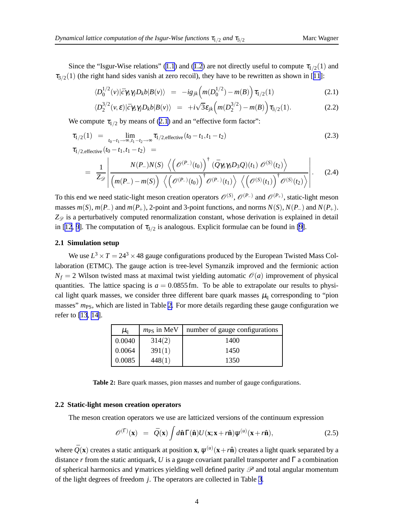<span id="page-3-0"></span>Since the "Isgur-Wise relations" ([1.1](#page-2-0)) and ([1.2](#page-2-0)) are not directly useful to compute  $\tau_{1/2}(1)$  and  $\tau_{3/2}(1)$  (the right hand sides vanish at zero recoil), they have to be rewritten as shown in [[11](#page-6-0)]:

$$
\langle D_0^{1/2}(v)|\bar{c}\gamma_5\gamma_j D_k b|B(v)\rangle = -ig_{jk}\Big(m(D_0^{1/2}) - m(B)\Big)\tau_{1/2}(1) \tag{2.1}
$$

$$
\langle D_2^{3/2}(\nu,\varepsilon)|\bar{c}\gamma_5\gamma_jD_kb|B(\nu)\rangle = +i\sqrt{3}\varepsilon_{jk}\left(m(D_2^{3/2})-m(B)\right)\tau_{3/2}(1). \tag{2.2}
$$

We compute  $\tau_{1/2}$  by means of (2.1) and an "effective form factor":

$$
\tau_{1/2}(1) = \lim_{t_0 - t_1 \to \infty, t_1 - t_2 \to \infty} \tau_{1/2, \text{effective}}(t_0 - t_1, t_1 - t_2)
$$
\n(2.3)

$$
L_{1/2, \text{effective}}(t_0 - t_1, t_1 - t_2) =
$$
  
= 
$$
\frac{1}{Z_{\mathscr{D}}}\left|\frac{N(P_{-})N(S)\left\langle \left(\mathscr{O}^{(P_{-})}(t_0)\right)^{\dagger}(\bar{Q}\gamma_{5}\gamma_{5}D_{3}Q)(t_1) \mathscr{O}^{(S)}(t_2)\right\rangle}{\left(m(P_{-})-m(S)\right)\left\langle \left(\mathscr{O}^{(P_{-})}(t_0)\right)^{\dagger} \mathscr{O}^{(P_{-})}(t_1)\right\rangle \left\langle \left(\mathscr{O}^{(S)}(t_1)\right)^{\dagger} \mathscr{O}^{(S)}(t_2)\right\rangle}\right|.
$$
(2.4)

To this end we need static-light meson creation operators  $\mathcal{O}^{(S)}$ ,  $\mathcal{O}^{(P_-)}$  and  $\mathcal{O}^{(P_+)}$ , static-light meson masses  $m(S)$ ,  $m(P_{-})$  and  $m(P_{+})$ , 2-point and 3-point functions, and norms  $N(S)$ ,  $N(P_{-})$  and  $N(P_{+})$ .  $Z_{\mathscr{D}}$  is a perturbatively computed renormalization constant, whose derivation is explained in detail in [\[12](#page-6-0), [9](#page-6-0)]. The computation of  $\tau_{3/2}$  is analogous. Explicit formulae can be found in [\[9\]](#page-6-0).

## **2.1 Simulation setup**

We use  $L^3 \times T = 24^3 \times 48$  gauge configurations produced by the European Twisted Mass Collaboration (ETMC). The gauge action is tree-level Symanzik improved and the fermionic action  $N_f = 2$  Wilson twisted mass at maximal twist yielding automatic  $\mathcal{O}(a)$  improvement of physical quantities. The lattice spacing is  $a = 0.0855$  fm. To be able to extrapolate our results to physical light quark masses, we consider three different bare quark masses  $\mu_q$  corresponding to "pion masses"  $m_{PS}$ , which are listed in Table 2. For more details regarding these gauge configuration we refer to [\[13](#page-6-0), [14\]](#page-6-0).

| $\mu_{q}$ | $m_{PS}$ in MeV | number of gauge configurations |
|-----------|-----------------|--------------------------------|
| 0.0040    | 314(2)          | 1400                           |
| 0.0064    | 391(1)          | 1450                           |
| 0.0085    | 448(1)          | 1350                           |

**Table 2:** Bare quark masses, pion masses and number of gauge configurations.

#### **2.2 Static-light meson creation operators**

The meson creation operators we use are latticized versions of the continuum expression

$$
\mathscr{O}^{(\Gamma)}(\mathbf{x}) = \bar{Q}(\mathbf{x}) \int d\hat{\mathbf{n}} \Gamma(\hat{\mathbf{n}}) U(\mathbf{x}; \mathbf{x} + r\hat{\mathbf{n}}) \psi^{(u)}(\mathbf{x} + r\hat{\mathbf{n}}), \tag{2.5}
$$

where  $\bar{Q}(\mathbf{x})$  creates a static antiquark at position **x**,  $\psi^{(u)}(\mathbf{x}+r\hat{\mathbf{n}})$  creates a light quark separated by a distance *r* from the static antiquark, *U* is a gauge covariant parallel transporter and  $\Gamma$  a combination of spherical harmonics and  $\gamma$  matrices yielding well defined parity  $\mathscr P$  and total angular momentum of the light degrees of freedom *j*. The operators are collected in Table [3](#page-4-0).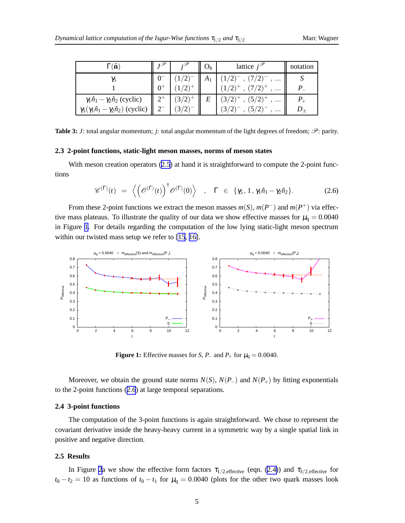<span id="page-4-0"></span>

| $\Gamma(\mathbf{\hat{n}})$                                   | $\mathbf{L}^{\mathscr{S}}$ | ∪հ | lattice $j^{\mathscr{P}}$            | notation |
|--------------------------------------------------------------|----------------------------|----|--------------------------------------|----------|
| $\gamma_5$                                                   |                            |    |                                      |          |
|                                                              |                            |    | $\cdots$                             |          |
| $\gamma_1 \hat{n}_1 - \gamma_2 \hat{n}_2$ (cyclic)           |                            | E  | $(5/2)^+$<br>$(3/2)^{+}$<br>$\cdots$ |          |
| $\gamma_5(\gamma_1 \hat{n}_1 - \gamma_2 \hat{n}_2)$ (cyclic) |                            |    | $\cdots$                             |          |

**Table 3:** *J*: total angular momentum; *j*: total angular momentum of the light degrees of freedom;  $\mathcal{P}$ : parity.

#### **2.3 2-point functions, static-light meson masses, norms of meson states**

With meson creation operators ([2.5](#page-3-0)) at hand it is straightforward to compute the 2-point functions

$$
\mathscr{C}^{(\Gamma)}(t) = \left\langle \left( \mathscr{O}^{(\Gamma)}(t) \right)^{\dagger} \mathscr{O}^{(\Gamma)}(0) \right\rangle , \quad \Gamma \in \{\gamma_5, 1, \gamma_1 \hat{n}_1 - \gamma_2 \hat{n}_2\}. \tag{2.6}
$$

From these 2-point functions we extract the meson masses  $m(S)$ ,  $m(P^-)$  and  $m(P^+)$  via effective mass plateaus. To illustrate the quality of our data we show effective masses for  $\mu_q = 0.0040$ in Figure 1. For details regarding the computation of the low lying static-light meson spectrum within our twisted mass setup we refer to [\[15](#page-6-0), [16\]](#page-6-0).



**Figure 1:** Effective masses for *S*, *P*<sub>−</sub> and *P*<sub>+</sub> for  $\mu_q = 0.0040$ .

Moreover, we obtain the ground state norms  $N(S)$ ,  $N(P_{-})$  and  $N(P_{+})$  by fitting exponentials to the 2-point functions (2.6) at large temporal separations.

#### **2.4 3-point functions**

The computation of the 3-point functions is again straightforward. We chose to represent the covariant derivative inside the heavy-heavy current in a symmetric way by a single spatial link in positive and negative direction.

#### **2.5 Results**

In Figure [2](#page-5-0)a we show the effective form factors  $\tau_{1/2,\text{effective}}$  (eqn. [\(2.4\)](#page-3-0)) and  $\tau_{3/2,\text{effective}}$  for  $t_0 - t_2 = 10$  as functions of  $t_0 - t_1$  for  $\mu_q = 0.0040$  (plots for the other two quark masses look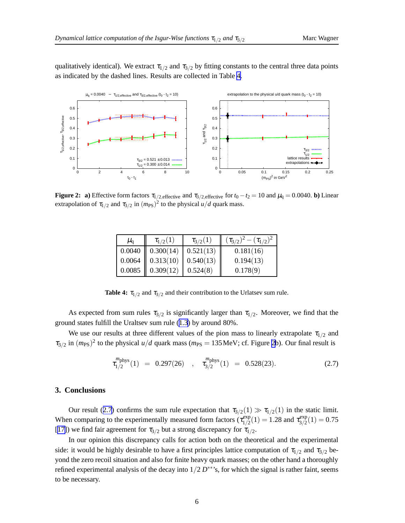<span id="page-5-0"></span>qualitatively identical). We extract  $\tau_{1/2}$  and  $\tau_{3/2}$  by fitting constants to the central three data points as indicated by the dashed lines. Results are collected in Table 4.



**Figure 2:** a) Effective form factors  $\tau_{1/2, \text{effective}}$  and  $\tau_{3/2, \text{effective}}$  for  $t_0 - t_2 = 10$  and  $\mu_q = 0.0040$ . **b**) Linear extrapolation of  $\tau_{1/2}$  and  $\tau_{3/2}$  in  $(m_{PS})^2$  to the physical  $u/d$  quark mass.

| $\mu_{\rm d}$ | $\tau_{1/2}(1)$    | $\tau_{3/2}(1)$ | $(\tau_{3/2})^2 - (\tau_{1/2})^2$ |
|---------------|--------------------|-----------------|-----------------------------------|
|               | $0.0040$ 0.300(14) | 0.521(13)       | 0.181(16)                         |
|               | $0.0064$ 0.313(10) | 0.540(13)       | 0.194(13)                         |
| 0.0085        | 0.309(12)          | 0.524(8)        | 0.178(9)                          |

**Table 4:**  $\tau_{1/2}$  and  $\tau_{3/2}$  and their contribution to the Urlatsev sum rule.

As expected from sum rules  $\tau_{3/2}$  is significantly larger than  $\tau_{1/2}$ . Moreover, we find that the ground states fulfill the Uraltsev sum rule ([1.3](#page-2-0)) by around 80%.

We use our results at three different values of the pion mass to linearly extrapolate  $\tau_{1/2}$  and  $\tau_{3/2}$  in  $(m_{PS})^2$  to the physical *u/d* quark mass ( $m_{PS} = 135$  MeV; cf. Figure 2b). Our final result is

$$
\tau_{1/2}^{m \text{phys}}(1) = 0.297(26) , \quad \tau_{3/2}^{m \text{phys}}(1) = 0.528(23). \tag{2.7}
$$

#### **3. Conclusions**

Our result (2.7) confirms the sum rule expectation that  $\tau_{3/2}(1) \gg \tau_{1/2}(1)$  in the static limit. When comparing to the experimentally measured form factors  $(\tau_{1/2}^{\text{exp}})$  $t_{1/2}^{\text{exp}}(1) = 1.28$  and  $\tau_{3/2}^{\text{exp}}$  $\frac{\text{exp}}{3/2}(1) = 0.75$ [[17\]](#page-6-0)) we find fair agreement for  $\tau_{3/2}$  but a strong discrepancy for  $\tau_{1/2}$ .

In our opinion this discrepancy calls for action both on the theoretical and the experimental side: it would be highly desirable to have a first principles lattice computation of  $\tau_{1/2}$  and  $\tau_{3/2}$  beyond the zero recoil situation and also for finite heavy quark masses; on the other hand a thoroughly refined experimental analysis of the decay into  $1/2 D^{**}$ 's, for which the signal is rather faint, seems to be necessary.